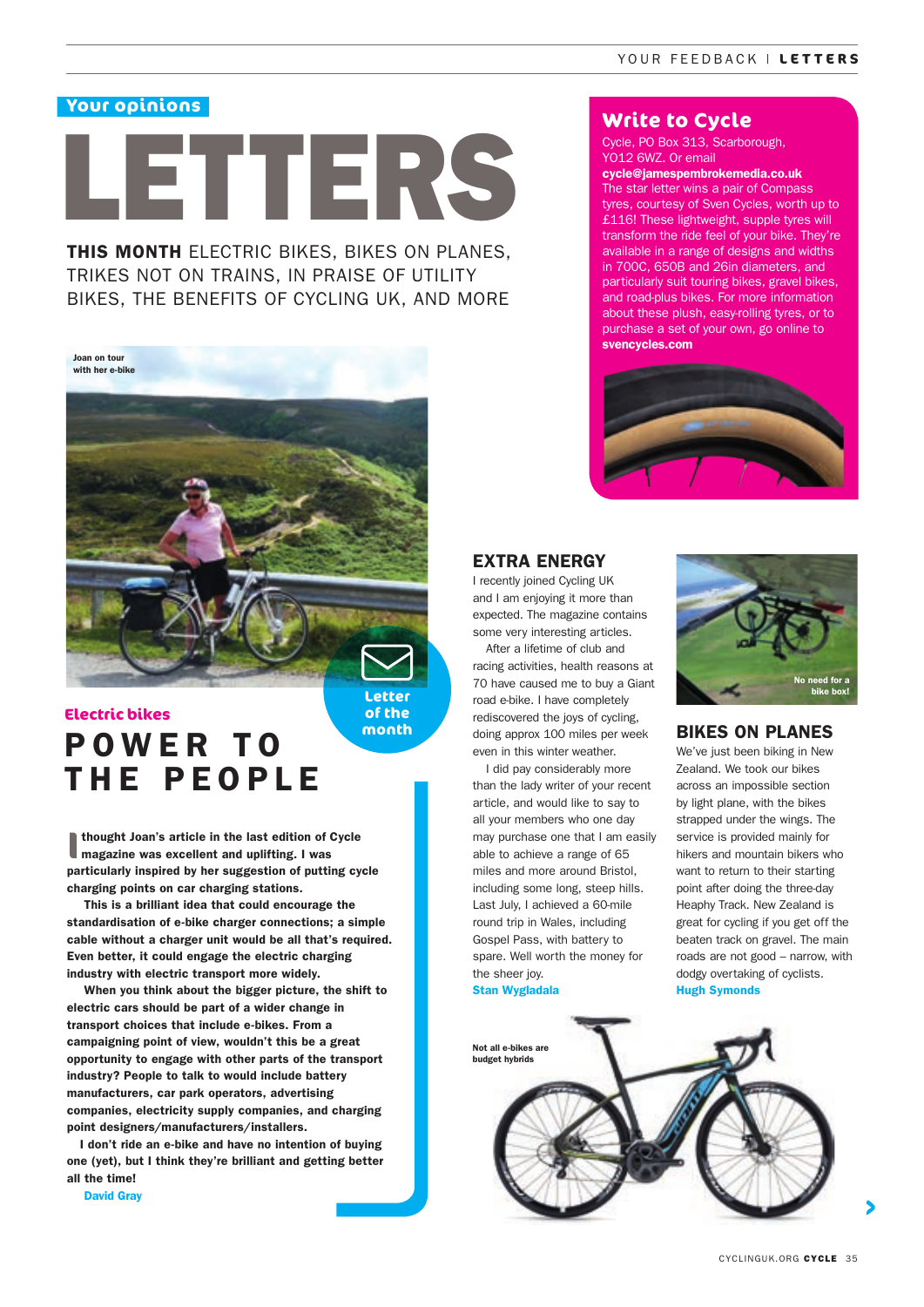# **Your opinions**

# LETTERS

THIS MONTH ELECTRIC BIKES, BIKES ON PLANES. TRIKES NOT ON TRAINS, IN PRAISE OF UTILITY BIKES, THE BENEFITS OF CYCLING UK, AND MORE



# POWER TO THE PEOPLE **Electric bikes**

**I** thought Joan's article in the last edition of Cycle magazine was excellent and uplifting. I was particularly inspired by her suggestion of putting cycle charging points on car charging stations.

 This is a brilliant idea that could encourage the standardisation of e-bike charger connections; a simple cable without a charger unit would be all that's required. Even better, it could engage the electric charging industry with electric transport more widely.

 When you think about the bigger picture, the shift to electric cars should be part of a wider change in transport choices that include e-bikes. From a campaigning point of view, wouldn't this be a great opportunity to engage with other parts of the transport industry? People to talk to would include battery manufacturers, car park operators, advertising companies, electricity supply companies, and charging point designers/manufacturers/installers.

I don't ride an e-bike and have no intention of buying one (yet), but I think they're brilliant and getting better all the time!

David Gray

**Write to Cycle**

Cycle, PO Box 313, Scarborough, YO12 6WZ. Or email

### cycle@jamespembrokemedia.co.uk

The star letter wins a pair of Compass tyres, courtesy of Sven Cycles, worth up to £116! These lightweight, supple tyres will transform the ride feel of your bike. They're available in a range of designs and widths in 700C, 650B and 26in diameters, and particularly suit touring bikes, gravel bikes, and road-plus bikes. For more information about these plush, easy-rolling tyres, or to purchase a set of your own, go online to svencycles.com



# EXTRA ENERGY

I recently joined Cycling UK and I am enjoying it more than expected. The magazine contains some very interesting articles.

After a lifetime of club and racing activities, health reasons at 70 have caused me to buy a Giant road e-bike. I have completely rediscovered the joys of cycling, doing approx 100 miles per week even in this winter weather.

I did pay considerably more than the lady writer of your recent article, and would like to say to all your members who one day may purchase one that I am easily able to achieve a range of 65 miles and more around Bristol, including some long, steep hills. Last July, I achieved a 60-mile round trip in Wales, including Gospel Pass, with battery to spare. Well worth the money for the sheer joy.

Stan Wygladala

**month**



## BIKES ON PLANES

We've just been biking in New Zealand. We took our bikes across an impossible section by light plane, with the bikes strapped under the wings. The service is provided mainly for hikers and mountain bikers who want to return to their starting point after doing the three-day Heaphy Track. New Zealand is great for cycling if you get off the beaten track on gravel. The main roads are not good – narrow, with dodgy overtaking of cyclists. Hugh Symonds